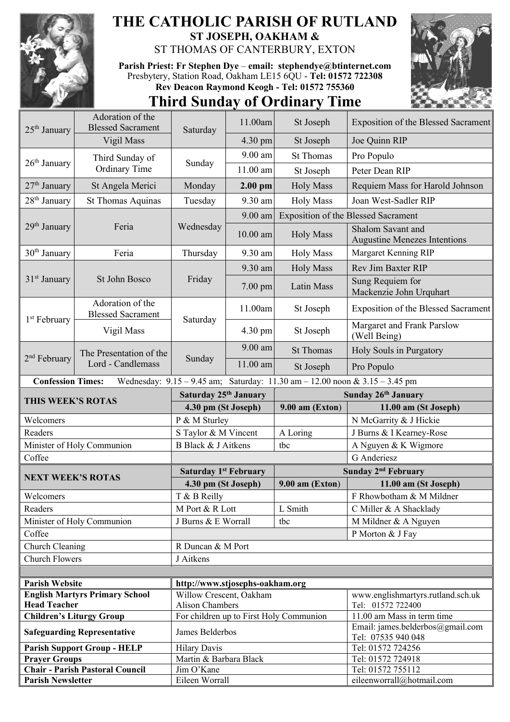

## **THE CATHOLIC PARISH OF RUTLAND ST JOSEPH, OAKHAM &**  ST THOMAS OF CANTERBURY, EXTON

**Parish Priest: Fr Stephen Dye** – **[email: stephendye@btinternet.com](mailto:email:%20%20stephendye@btinternet.com)** Presbytery, Station Road, Oakham LE15 6QU - **Tel: 01572 722308 Rev Deacon Raymond Keogh - Tel: 01572 755360**





| 25 <sup>th</sup> January | Adoration of the<br><b>Blessed Sacrament</b> | Saturday                        | 11.00am           | St Joseph                               | <b>Exposition of the Blessed Sacrament</b>                                          |
|--------------------------|----------------------------------------------|---------------------------------|-------------------|-----------------------------------------|-------------------------------------------------------------------------------------|
|                          | Vigil Mass                                   |                                 | $4.30 \text{ pm}$ | St Joseph                               | Joe Quinn RIP                                                                       |
| $26th$ January           | Third Sunday of<br>Ordinary Time             | Sunday                          | $9.00$ am         | <b>St Thomas</b>                        | Pro Populo                                                                          |
|                          |                                              |                                 | 11.00 am          | St Joseph                               | Peter Dean RIP                                                                      |
| 27 <sup>th</sup> January | St Angela Merici                             | Monday                          | $2.00$ pm         | <b>Holy Mass</b>                        | Requiem Mass for Harold Johnson                                                     |
| 28 <sup>th</sup> January | <b>St Thomas Aquinas</b>                     | Tuesday                         | 9.30 am           | <b>Holy Mass</b>                        | Joan West-Sadler RIP                                                                |
|                          | Feria                                        | Wednesday                       | 9.00 am           |                                         | <b>Exposition of the Blessed Sacrament</b>                                          |
| $29th$ January           |                                              |                                 | $10.00$ am        | <b>Holy Mass</b>                        | Shalom Savant and<br><b>Augustine Menezes Intentions</b>                            |
| $30th$ January           | Feria                                        | Thursday                        | 9.30 am           | <b>Holy Mass</b>                        | Margaret Kenning RIP                                                                |
| $31st$ January           | St John Bosco                                | Friday                          | 9.30 am           | <b>Holy Mass</b>                        | <b>Rev Jim Baxter RIP</b>                                                           |
|                          |                                              |                                 | $7.00$ pm         | Latin Mass                              | Sung Requiem for<br>Mackenzie John Urquhart                                         |
| 1 <sup>st</sup> February | Adoration of the<br><b>Blessed Sacrament</b> | Saturday                        | 11.00am           | St Joseph                               | <b>Exposition of the Blessed Sacrament</b>                                          |
|                          | Vigil Mass                                   |                                 | 4.30 pm           | St Joseph                               | Margaret and Frank Parslow<br>(Well Being)                                          |
| 2 <sup>nd</sup> February | The Presentation of the<br>Lord - Candlemass | Sunday                          | $9.00$ am         | <b>St Thomas</b>                        | Holy Souls in Purgatory                                                             |
|                          |                                              |                                 | $11.00$ am        | St Joseph                               | Pro Populo                                                                          |
| <b>Confession Times:</b> |                                              |                                 |                   |                                         | Wednesday: $9.15 - 9.45$ am; Saturday: $11.30$ am $- 12.00$ noon & $3.15 - 3.45$ pm |
| THIS WEEK'S ROTAS        |                                              | Saturday 25th January           |                   |                                         | Sunday 26th January                                                                 |
|                          |                                              |                                 |                   |                                         |                                                                                     |
|                          |                                              | 4.30 pm (St Joseph)             |                   | $9.00$ am (Exton)                       | 11.00 am (St Joseph)                                                                |
| Welcomers                |                                              | P & M Sturley                   |                   |                                         | N McGarrity & J Hickie                                                              |
| Readers                  |                                              | S Taylor & M Vincent            |                   | A Loring                                | J Burns & I Kearney-Rose                                                            |
|                          | Minister of Holy Communion                   | B Black & J Aitkens             |                   | tbc                                     | A Nguyen & K Wigmore                                                                |
| Coffee                   |                                              |                                 |                   |                                         | G Anderiesz                                                                         |
|                          |                                              | <b>Saturday 1st February</b>    |                   |                                         | Sunday 2 <sup>nd</sup> February                                                     |
| <b>NEXT WEEK'S ROTAS</b> |                                              | 4.30 pm (St Joseph)             |                   | $9.00$ am (Exton)                       | 11.00 am (St Joseph)                                                                |
| Welcomers                |                                              | T & B Reilly                    |                   |                                         | F Rhowbotham & M Mildner                                                            |
| Readers                  |                                              | M Port & R Lott                 |                   | L Smith                                 | C Miller & A Shacklady                                                              |
|                          | Minister of Holy Communion                   | J Burns & E Worrall             |                   | tbc                                     | M Mildner & A Nguyen                                                                |
| Coffee                   |                                              |                                 |                   |                                         | P Morton & J Fay                                                                    |
| Church Cleaning          |                                              | R Duncan & M Port               |                   |                                         |                                                                                     |
| <b>Church Flowers</b>    |                                              | J Aitkens                       |                   |                                         |                                                                                     |
|                          |                                              |                                 |                   |                                         |                                                                                     |
| <b>Parish Website</b>    |                                              | http://www.stjosephs-oakham.org |                   |                                         |                                                                                     |
|                          | <b>English Martyrs Primary School</b>        | Willow Crescent, Oakham         |                   |                                         | www.englishmartyrs.rutland.sch.uk                                                   |
| <b>Head Teacher</b>      |                                              | <b>Alison Chambers</b>          |                   |                                         | Tel: 01572 722400                                                                   |
|                          | <b>Children's Liturgy Group</b>              |                                 |                   | For children up to First Holy Communion | 11.00 am Mass in term time                                                          |
|                          | <b>Safeguarding Representative</b>           | James Belderbos                 |                   |                                         | Email: james.belderbos@gmail.com<br>Tel: 07535 940 048                              |
|                          | <b>Parish Support Group - HELP</b>           | <b>Hilary Davis</b>             |                   |                                         | Tel: 01572 724256                                                                   |
| <b>Prayer Groups</b>     |                                              | Martin & Barbara Black          |                   |                                         | Tel: 01572 724918                                                                   |
| <b>Parish Newsletter</b> | <b>Chair - Parish Pastoral Council</b>       | Jim O'Kane<br>Eileen Worrall    |                   |                                         | Tel: 01572 755112<br>eileenworrall@hotmail.com                                      |